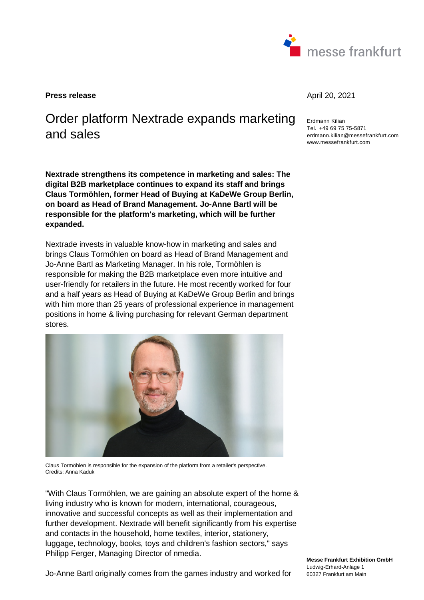

**Press release April 20, 2021** 

# Order platform Nextrade expands marketing and sales

**Nextrade strengthens its competence in marketing and sales: The digital B2B marketplace continues to expand its staff and brings Claus Tormöhlen, former Head of Buying at KaDeWe Group Berlin, on board as Head of Brand Management. Jo-Anne Bartl will be responsible for the platform's marketing, which will be further expanded.** 

Nextrade invests in valuable know-how in marketing and sales and brings Claus Tormöhlen on board as Head of Brand Management and Jo-Anne Bartl as Marketing Manager. In his role, Tormöhlen is responsible for making the B2B marketplace even more intuitive and user-friendly for retailers in the future. He most recently worked for four and a half years as Head of Buying at KaDeWe Group Berlin and brings with him more than 25 years of professional experience in management positions in home & living purchasing for relevant German department stores.



Claus Tormöhlen is responsible for the expansion of the platform from a retailer's perspective. Credits: Anna Kaduk

"With Claus Tormöhlen, we are gaining an absolute expert of the home & living industry who is known for modern, international, courageous, innovative and successful concepts as well as their implementation and further development. Nextrade will benefit significantly from his expertise and contacts in the household, home textiles, interior, stationery, luggage, technology, books, toys and children's fashion sectors," says Philipp Ferger, Managing Director of nmedia.

Erdmann Kilian Tel. +49 69 75 75-5871 erdmann.kilian@messefrankfurt.com www.messefrankfurt.com

**Messe Frankfurt Exhibition GmbH**  Ludwig-Erhard-Anlage 1 60327 Frankfurt am Main

Jo-Anne Bartl originally comes from the games industry and worked for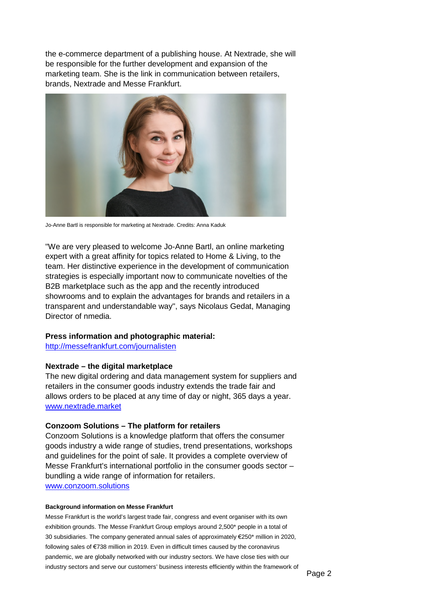the e-commerce department of a publishing house. At Nextrade, she will be responsible for the further development and expansion of the marketing team. She is the link in communication between retailers, brands, Nextrade and Messe Frankfurt.



Jo-Anne Bartl is responsible for marketing at Nextrade. Credits: Anna Kaduk

"We are very pleased to welcome Jo-Anne Bartl, an online marketing expert with a great affinity for topics related to Home & Living, to the team. Her distinctive experience in the development of communication strategies is especially important now to communicate novelties of the B2B marketplace such as the app and the recently introduced showrooms and to explain the advantages for brands and retailers in a transparent and understandable way", says Nicolaus Gedat, Managing Director of nmedia.

## **Press information and photographic material:**

<http://messefrankfurt.com/journalisten>

## **Nextrade – the digital marketplace**

The new digital ordering and data management system for suppliers and retailers in the consumer goods industry extends the trade fair and allows orders to be placed at any time of day or night, 365 days a year. [www.nextrade.market](http://www.nextrade.market/)

## **Conzoom Solutions – The platform for retailers**

Conzoom Solutions is a knowledge platform that offers the consumer goods industry a wide range of studies, trend presentations, workshops and guidelines for the point of sale. It provides a complete overview of Messe Frankfurt's international portfolio in the consumer goods sector – bundling a wide range of information for retailers. www.conzoom.solutions

### **Background information on Messe Frankfurt**

Messe Frankfurt is the world's largest trade fair, congress and event organiser with its own exhibition grounds. The Messe Frankfurt Group employs around 2,500\* people in a total of 30 subsidiaries. The company generated annual sales of approximately €250\* million in 2020, following sales of €738 million in 2019. Even in difficult times caused by the coronavirus pandemic, we are globally networked with our industry sectors. We have close ties with our industry sectors and serve our customers' business interests efficiently within the framework of